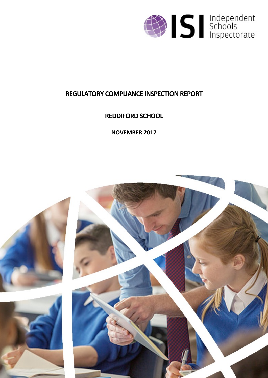

# **REGULATORY COMPLIANCE INSPECTION REPORT**

**REDDIFORD SCHOOL**

**NOVEMBER 2017**

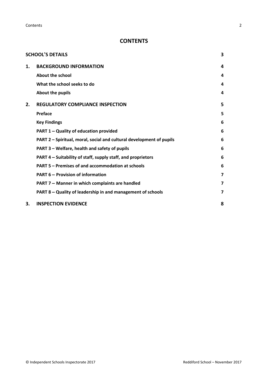**Contents** 2

## **CONTENTS**

|    | <b>SCHOOL'S DETAILS</b>                                              | 3 |
|----|----------------------------------------------------------------------|---|
| 1. | <b>BACKGROUND INFORMATION</b>                                        | 4 |
|    | About the school                                                     | 4 |
|    | What the school seeks to do                                          | 4 |
|    | About the pupils                                                     | 4 |
| 2. | <b>REGULATORY COMPLIANCE INSPECTION</b>                              | 5 |
|    | Preface                                                              | 5 |
|    | <b>Key Findings</b>                                                  | 6 |
|    | <b>PART 1 - Quality of education provided</b>                        | 6 |
|    | PART 2 - Spiritual, moral, social and cultural development of pupils | 6 |
|    | PART 3 - Welfare, health and safety of pupils                        | 6 |
|    | PART 4 – Suitability of staff, supply staff, and proprietors         | 6 |
|    | PART 5 – Premises of and accommodation at schools                    | 6 |
|    | <b>PART 6 - Provision of information</b>                             | 7 |
|    | PART 7 - Manner in which complaints are handled                      | 7 |
|    | PART 8 - Quality of leadership in and management of schools          | 7 |
| 3. | <b>INSPECTION EVIDENCE</b>                                           | 8 |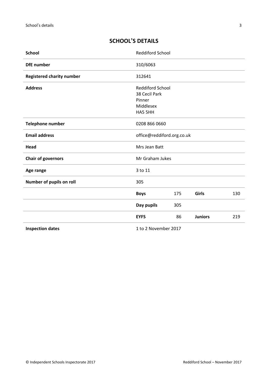# <span id="page-2-0"></span>**SCHOOL'S DETAILS**

| <b>School</b>                    | Reddiford School                                                           |     |                |     |
|----------------------------------|----------------------------------------------------------------------------|-----|----------------|-----|
| <b>DfE</b> number                | 310/6063                                                                   |     |                |     |
| <b>Registered charity number</b> | 312641                                                                     |     |                |     |
| <b>Address</b>                   | <b>Reddiford School</b><br>38 Cecil Park<br>Pinner<br>Middlesex<br>HA5 5HH |     |                |     |
| <b>Telephone number</b>          | 0208 866 0660                                                              |     |                |     |
| <b>Email address</b>             | office@reddiford.org.co.uk                                                 |     |                |     |
| Head                             | Mrs Jean Batt                                                              |     |                |     |
| <b>Chair of governors</b>        | Mr Graham Jukes                                                            |     |                |     |
| Age range                        | 3 to 11                                                                    |     |                |     |
| Number of pupils on roll         | 305                                                                        |     |                |     |
|                                  | <b>Boys</b>                                                                | 175 | Girls          | 130 |
|                                  | Day pupils                                                                 | 305 |                |     |
|                                  | <b>EYFS</b>                                                                | 86  | <b>Juniors</b> | 219 |
| <b>Inspection dates</b>          | 1 to 2 November 2017                                                       |     |                |     |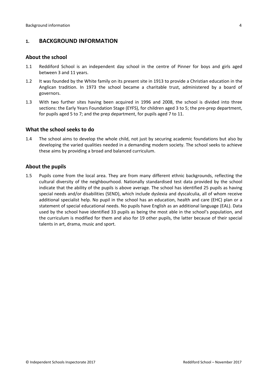## <span id="page-3-0"></span>**1. BACKGROUND INFORMATION**

#### <span id="page-3-1"></span>**About the school**

- 1.1 Reddiford School is an independent day school in the centre of Pinner for boys and girls aged between 3 and 11 years.
- 1.2 It was founded by the White family on its present site in 1913 to provide a Christian education in the Anglican tradition. In 1973 the school became a charitable trust, administered by a board of governors.
- 1.3 With two further sites having been acquired in 1996 and 2008, the school is divided into three sections: the Early Years Foundation Stage (EYFS), for children aged 3 to 5; the pre-prep department, for pupils aged 5 to 7; and the prep department, for pupils aged 7 to 11.

#### <span id="page-3-2"></span>**What the school seeks to do**

1.4 The school aims to develop the whole child, not just by securing academic foundations but also by developing the varied qualities needed in a demanding modern society. The school seeks to achieve these aims by providing a broad and balanced curriculum.

#### <span id="page-3-3"></span>**About the pupils**

1.5 Pupils come from the local area. They are from many different ethnic backgrounds, reflecting the cultural diversity of the neighbourhood. Nationally standardised test data provided by the school indicate that the ability of the pupils is above average. The school has identified 25 pupils as having special needs and/or disabilities (SEND), which include dyslexia and dyscalculia, all of whom receive additional specialist help. No pupil in the school has an education, health and care (EHC) plan or a statement of special educational needs. No pupils have English as an additional language (EAL). Data used by the school have identified 33 pupils as being the most able in the school's population, and the curriculum is modified for them and also for 19 other pupils, the latter because of their special talents in art, drama, music and sport.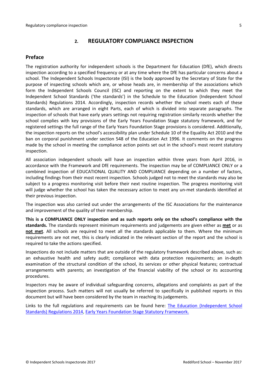## <span id="page-4-0"></span>**2. REGULATORY COMPLIANCE INSPECTION**

## <span id="page-4-1"></span>**Preface**

The registration authority for independent schools is the Department for Education (DfE), which directs inspection according to a specified frequency or at any time where the DfE has particular concerns about a school. The Independent Schools Inspectorate (ISI) is the body approved by the Secretary of State for the purpose of inspecting schools which are, or whose heads are, in membership of the associations which form the Independent Schools Council (ISC) and reporting on the extent to which they meet the Independent School Standards ('the standards') in the Schedule to the Education (Independent School Standards) Regulations 2014. Accordingly, inspection records whether the school meets each of these standards, which are arranged in eight Parts, each of which is divided into separate paragraphs. The inspection of schools that have early years settings not requiring registration similarly records whether the school complies with key provisions of the Early Years Foundation Stage statutory framework, and for registered settings the full range of the Early Years Foundation Stage provisions is considered. Additionally, the inspection reports on the school's accessibility plan under Schedule 10 of the Equality Act 2010 and the ban on corporal punishment under section 548 of the Education Act 1996. It comments on the progress made by the school in meeting the compliance action points set out in the school's most recent statutory inspection.

All association independent schools will have an inspection within three years from April 2016, in accordance with the Framework and DfE requirements. The inspection may be of COMPLIANCE ONLY or a combined inspection of EDUCATIONAL QUALITY AND COMPLIANCE depending on a number of factors, including findings from their most recent inspection. Schools judged not to meet the standards may also be subject to a progress monitoring visit before their next routine inspection. The progress monitoring visit will judge whether the school has taken the necessary action to meet any un-met standards identified at their previous inspection.

The inspection was also carried out under the arrangements of the ISC Associations for the maintenance and improvement of the quality of their membership.

**This is a COMPLIANCE ONLY inspection and as such reports only on the school's compliance with the standards.** The standards represent minimum requirements and judgements are given either as **met** or as **not met**. All schools are required to meet all the standards applicable to them. Where the minimum requirements are not met, this is clearly indicated in the relevant section of the report and the school is required to take the actions specified.

Inspections do not include matters that are outside of the regulatory framework described above, such as: an exhaustive health and safety audit; compliance with data protection requirements; an in-depth examination of the structural condition of the school, its services or other physical features; contractual arrangements with parents; an investigation of the financial viability of the school or its accounting procedures.

Inspectors may be aware of individual safeguarding concerns, allegations and complaints as part of the inspection process. Such matters will not usually be referred to specifically in published reports in this document but will have been considered by the team in reaching its judgements.

Links to the full regulations and requirements can be found here: The Education [\(Independent](http://www.legislation.gov.uk/uksi/2014/3283/contents/made) School Standards) [Regulations](http://www.legislation.gov.uk/uksi/2014/3283/contents/made) 2014, Early Years Foundation Stage Statutory [Framework.](https://www.gov.uk/government/publications/early-years-foundation-stage-framework--2)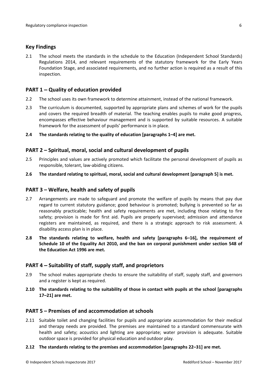#### <span id="page-5-0"></span>**Key Findings**

2.1 The school meets the standards in the schedule to the Education (Independent School Standards) Regulations 2014, and relevant requirements of the statutory framework for the Early Years Foundation Stage, and associated requirements, and no further action is required as a result of this inspection.

## <span id="page-5-1"></span>**PART 1 – Quality of education provided**

- 2.2 The school uses its own framework to determine attainment, instead of the national framework.
- 2.3 The curriculum is documented, supported by appropriate plans and schemes of work for the pupils and covers the required breadth of material. The teaching enables pupils to make good progress, encompasses effective behaviour management and is supported by suitable resources. A suitable framework for the assessment of pupils' performance is in place.
- **2.4 The standards relating to the quality of education [paragraphs 1–4] are met.**

#### <span id="page-5-2"></span>**PART 2 – Spiritual, moral, social and cultural development of pupils**

- 2.5 Principles and values are actively promoted which facilitate the personal development of pupils as responsible, tolerant, law-abiding citizens.
- **2.6 The standard relating to spiritual, moral, social and cultural development [paragraph 5] is met.**

#### <span id="page-5-3"></span>**PART 3 – Welfare, health and safety of pupils**

- 2.7 Arrangements are made to safeguard and promote the welfare of pupils by means that pay due regard to current statutory guidance; good behaviour is promoted; bullying is prevented so far as reasonably practicable; health and safety requirements are met, including those relating to fire safety; provision is made for first aid. Pupils are properly supervised; admission and attendance registers are maintained, as required, and there is a strategic approach to risk assessment. A disability access plan is in place.
- **2.8 The standards relating to welfare, health and safety [paragraphs 6–16], the requirement of Schedule 10 of the Equality Act 2010, and the ban on corporal punishment under section 548 of the Education Act 1996 are met.**

## <span id="page-5-4"></span>**PART 4 – Suitability of staff, supply staff, and proprietors**

- 2.9 The school makes appropriate checks to ensure the suitability of staff, supply staff, and governors and a register is kept as required.
- **2.10 The standards relating to the suitability of those in contact with pupils at the school [paragraphs 17–21] are met.**

#### <span id="page-5-5"></span>**PART 5 – Premises of and accommodation at schools**

2.11 Suitable toilet and changing facilities for pupils and appropriate accommodation for their medical and therapy needs are provided. The premises are maintained to a standard commensurate with health and safety; acoustics and lighting are appropriate; water provision is adequate. Suitable outdoor space is provided for physical education and outdoor play.

#### **2.12 The standards relating to the premises and accommodation [paragraphs 22–31] are met.**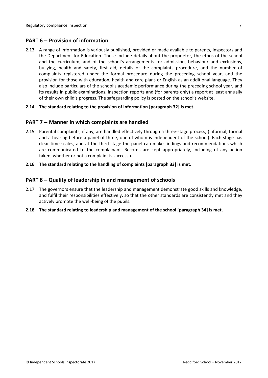## <span id="page-6-0"></span>**PART 6 – Provision of information**

2.13 A range of information is variously published, provided or made available to parents, inspectors and the Department for Education. These include details about the proprietor, the ethos of the school and the curriculum, and of the school's arrangements for admission, behaviour and exclusions, bullying, health and safety, first aid, details of the complaints procedure, and the number of complaints registered under the formal procedure during the preceding school year, and the provision for those with education, health and care plans or English as an additional language. They also include particulars of the school's academic performance during the preceding school year, and its results in public examinations, inspection reports and (for parents only) a report at least annually of their own child's progress. The safeguarding policy is posted on the school's website.

#### **2.14 The standard relating to the provision of information [paragraph 32] is met.**

## <span id="page-6-1"></span>**PART 7 – Manner in which complaints are handled**

- 2.15 Parental complaints, if any, are handled effectively through a three-stage process, (informal, formal and a hearing before a panel of three, one of whom is independent of the school). Each stage has clear time scales, and at the third stage the panel can make findings and recommendations which are communicated to the complainant. Records are kept appropriately, including of any action taken, whether or not a complaint is successful.
- **2.16 The standard relating to the handling of complaints [paragraph 33] is met.**

#### <span id="page-6-2"></span>**PART 8 – Quality of leadership in and management of schools**

- 2.17 The governors ensure that the leadership and management demonstrate good skills and knowledge, and fulfil their responsibilities effectively, so that the other standards are consistently met and they actively promote the well-being of the pupils.
- **2.18 The standard relating to leadership and management of the school [paragraph 34] is met.**